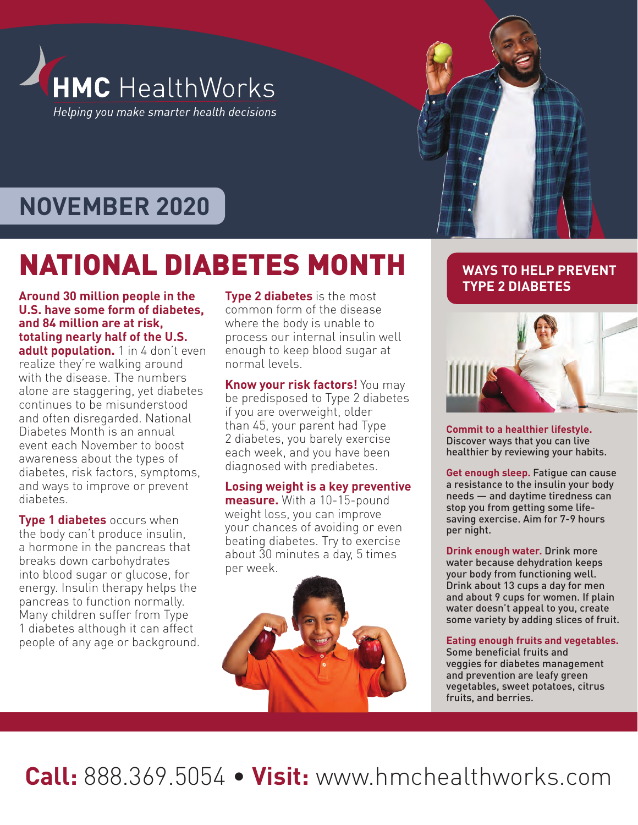

# **NOVEMBER 2020**

# NATIONAL DIABETES MONTH

**Around 30 million people in the U.S. have some form of diabetes, and 84 million are at risk, totaling nearly half of the U.S.**  adult population. 1 in 4 don't even realize they're walking around with the disease. The numbers alone are staggering, yet diabetes continues to be misunderstood and often disregarded. National Diabetes Month is an annual event each November to boost awareness about the types of diabetes, risk factors, symptoms, and ways to improve or prevent diabetes.

**Type 1 diabetes** occurs when the body can't produce insulin, a hormone in the pancreas that breaks down carbohydrates into blood sugar or glucose, for energy. Insulin therapy helps the pancreas to function normally. Many children suffer from Type 1 diabetes although it can affect people of any age or background. **Type 2 diabetes** is the most common form of the disease where the body is unable to process our internal insulin well enough to keep blood sugar at normal levels.

**Know your risk factors!** You may be predisposed to Type 2 diabetes if you are overweight, older than 45, your parent had Type 2 diabetes, you barely exercise each week, and you have been diagnosed with prediabetes.

**Losing weight is a key preventive measure.** With a 10-15-pound weight loss, you can improve your chances of avoiding or even beating diabetes. Try to exercise about 30 minutes a day, 5 times per week.



### **WAYS TO HELP PREVENT TYPE 2 DIABETES**



**Commit to a healthier lifestyle.**  Discover ways that you can live healthier by reviewing your habits.

**Get enough sleep.** Fatigue can cause a resistance to the insulin your body needs — and daytime tiredness can stop you from getting some lifesaving exercise. Aim for 7-9 hours per night.

**Drink enough water.** Drink more water because dehydration keeps your body from functioning well. Drink about 13 cups a day for men and about 9 cups for women. If plain water doesn't appeal to you, create some variety by adding slices of fruit.

#### **Eating enough fruits and vegetables.**

Some beneficial fruits and veggies for diabetes management and prevention are leafy green vegetables, sweet potatoes, citrus fruits, and berries.

**Call:** 888.369.5054 • **Visit:** www.hmchealthworks.com